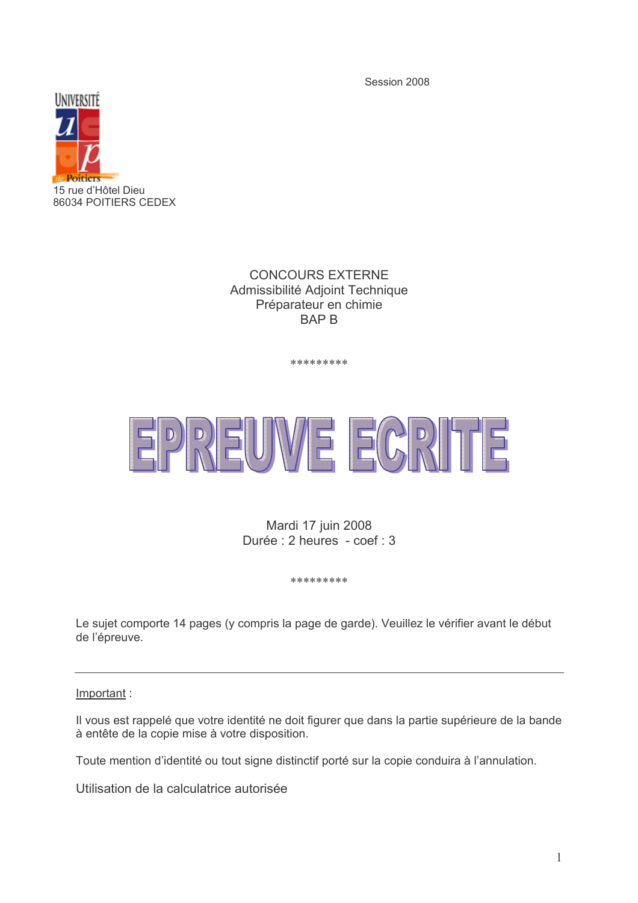Session 2008



**CONCOURS EXTERNE** Admissibilité Adjoint Technique Préparateur en chimie **BAP B** 

\*\*\*\*\*\*\*\*\*



Mardi 17 juin 2008 Durée : 2 heures - coef : 3

\*\*\*\*\*\*\*\*\*

Le sujet comporte 14 pages (y compris la page de garde). Veuillez le vérifier avant le début de l'épreuve.

Important:

Il vous est rappelé que votre identité ne doit figurer que dans la partie supérieure de la bande à entête de la copie mise à votre disposition.

Toute mention d'identité ou tout signe distinctif porté sur la copie conduira à l'annulation.

Utilisation de la calculatrice autorisée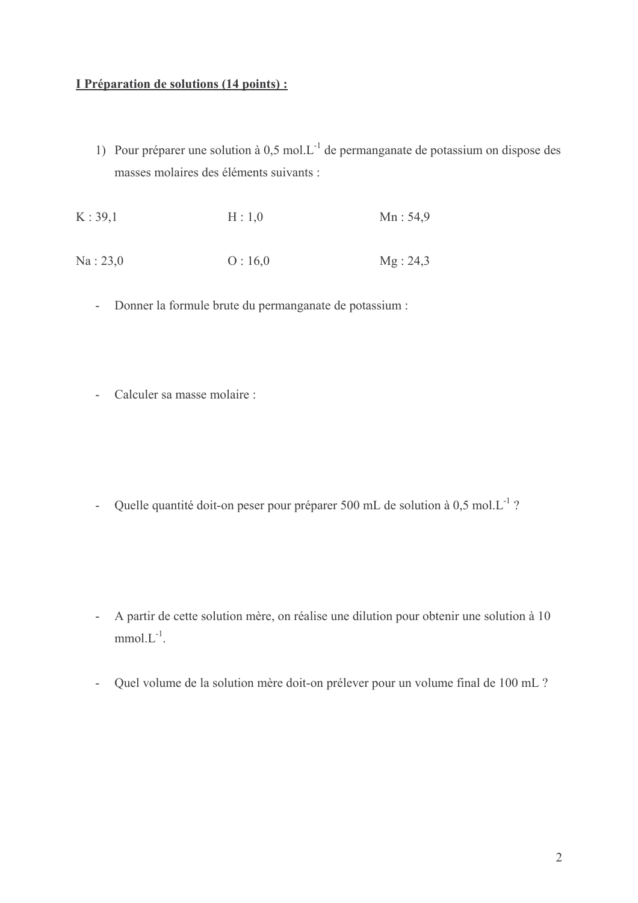### I Préparation de solutions (14 points) :

1) Pour préparer une solution à  $0.5 \text{ mol.} L^{-1}$  de permanganate de potassium on dispose des masses molaires des éléments suivants :

| K: 39,1  | H: 1,0 | Mn : $54,9$ |  |
|----------|--------|-------------|--|
| Na: 23,0 | O:16,0 | Mg: 24,3    |  |

- Donner la formule brute du permanganate de potassium :
- Calculer sa masse molaire :

- Quelle quantité doit-on peser pour préparer 500 mL de solution à 0,5 mol.L<sup>-1</sup> ?

- A partir de cette solution mère, on réalise une dilution pour obtenir une solution à 10  $mmol.L^{-1}$ .
- Quel volume de la solution mère doit-on prélever pour un volume final de 100 mL ?  $\omega_{\rm{eff}}$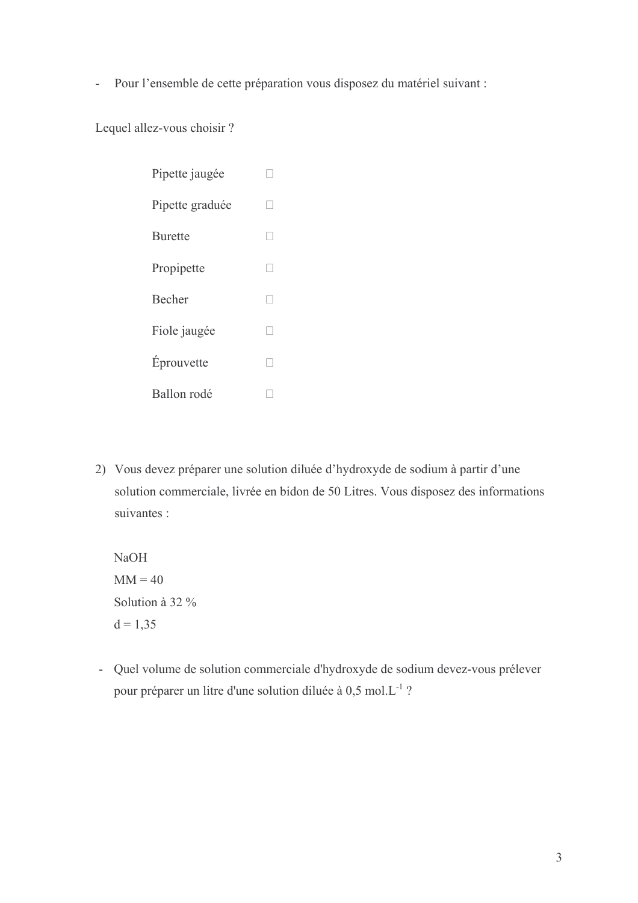Pour l'ensemble de cette préparation vous disposez du matériel suivant :  $\Box$ 

Lequel allez-vous choisir?

- Pipette jaugée  $\Box$ Pipette graduée  $\Box$ **Burette**  $\Box$ Propipette  $\Box$ Becher  $\Box$ Fiole jaugée  $\Box$ Éprouvette  $\Box$ Ballon rodé  $\Box$
- 2) Vous devez préparer une solution diluée d'hydroxyde de sodium à partir d'une solution commerciale, livrée en bidon de 50 Litres. Vous disposez des informations suivantes :

**NaOH**  $MM = 40$ Solution à 32 %  $d = 1,35$ 

- Quel volume de solution commerciale d'hydroxyde de sodium devez-vous prélever pour préparer un litre d'une solution diluée à 0,5 mol. L<sup>-1</sup> ?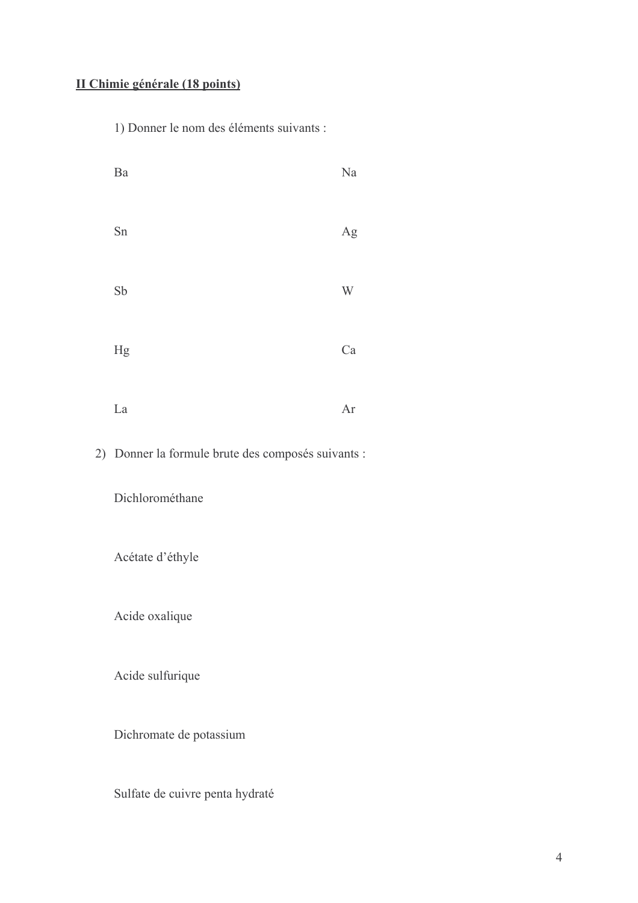### II Chimie générale (18 points)

1) Donner le nom des éléments suivants :

| Ba          | Na |
|-------------|----|
| Sn          | Ag |
| ${\rm Sb}$  | W  |
| $_{\rm Hg}$ | Ca |
| La          | Ar |

2) Donner la formule brute des composés suivants :

Dichlorométhane

Acétate d'éthyle

Acide oxalique

Acide sulfurique

Dichromate de potassium

Sulfate de cuivre penta hydraté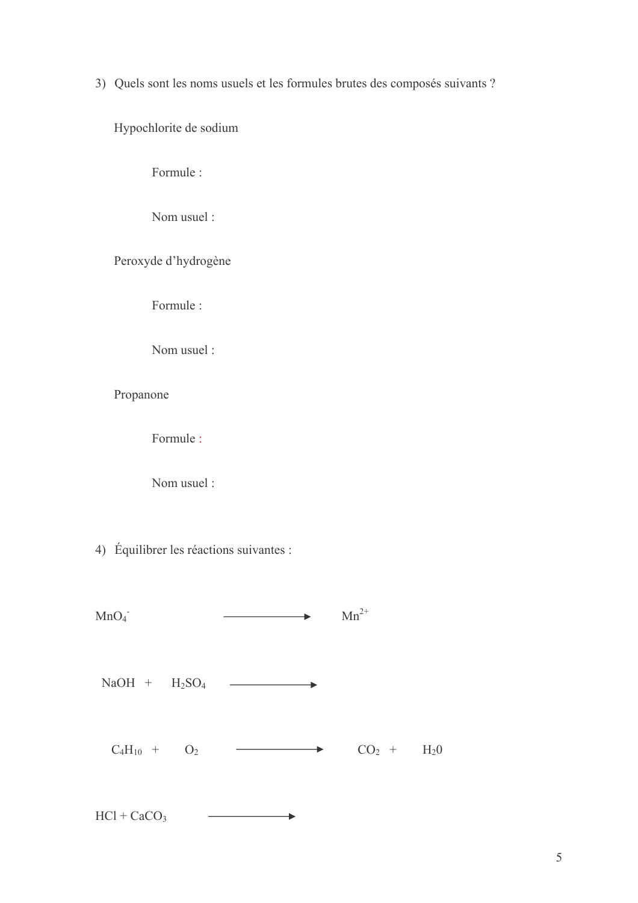3) Quels sont les noms usuels et les formules brutes des composés suivants ?

Hypochlorite de sodium

Formule:

Nom usuel:

Peroxyde d'hydrogène

Formule:

Nom usuel:

Propanone

Formule:

Nom usuel:

4) Équilibrer les réactions suivantes :

| MnO <sub>4</sub>    | $Mn^{2+}$                   |
|---------------------|-----------------------------|
| $NaOH + H2SO4$      |                             |
| $C_4H_{10}$ + $O_2$ | $CO2$ +<br>H <sub>2</sub> 0 |

 $HC1 + CaCO<sub>3</sub>$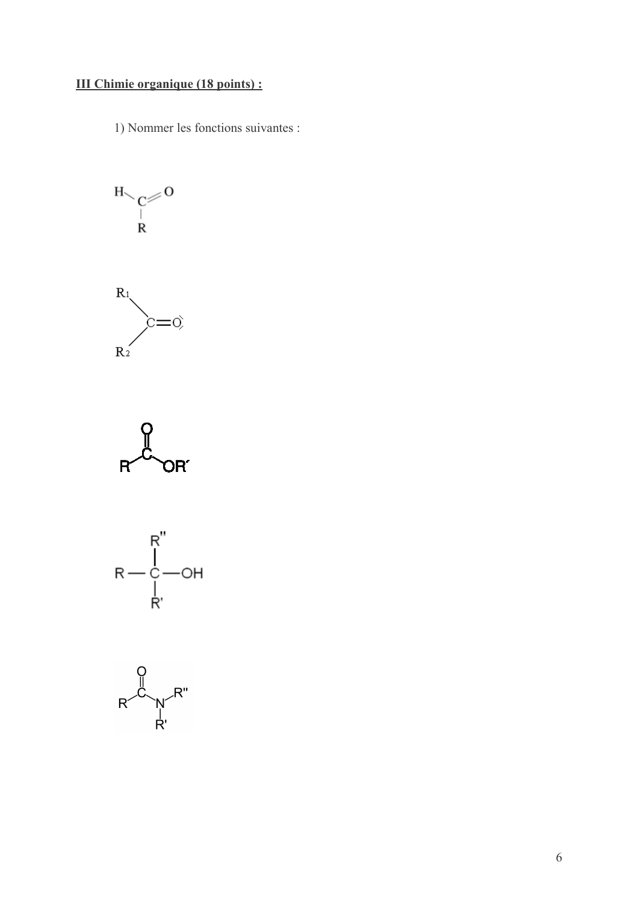## **III Chimie organique (18 points):**

1) Nommer les fonctions suivantes :

$$
\mathop{\sim}\limits_{\mathop{\rule{0pt}{6pt}\rule{0pt}{3pt}}\right.^{H\smallsetminus}}\mathop{\sim}\limits_{\mathop{\rule{0pt}{3pt}\rule{0pt}{3pt}}\limits^{C\hspace{-3pt}}}\mathop{\sim}\limits^O
$$







$$
R\left(\begin{matrix}0\\0\\0\\0\\0\end{matrix}\right)^{R^{n}}
$$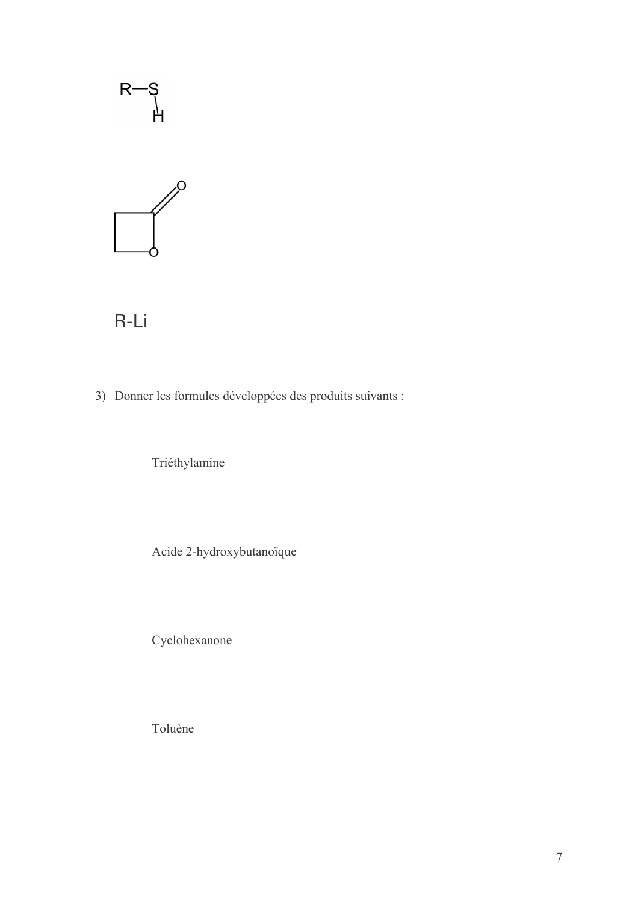

# R-Li

3) Donner les formules développées des produits suivants :

Triéthylamine

Acide 2-hydroxybutanoïque

Cyclohexanone

Toluène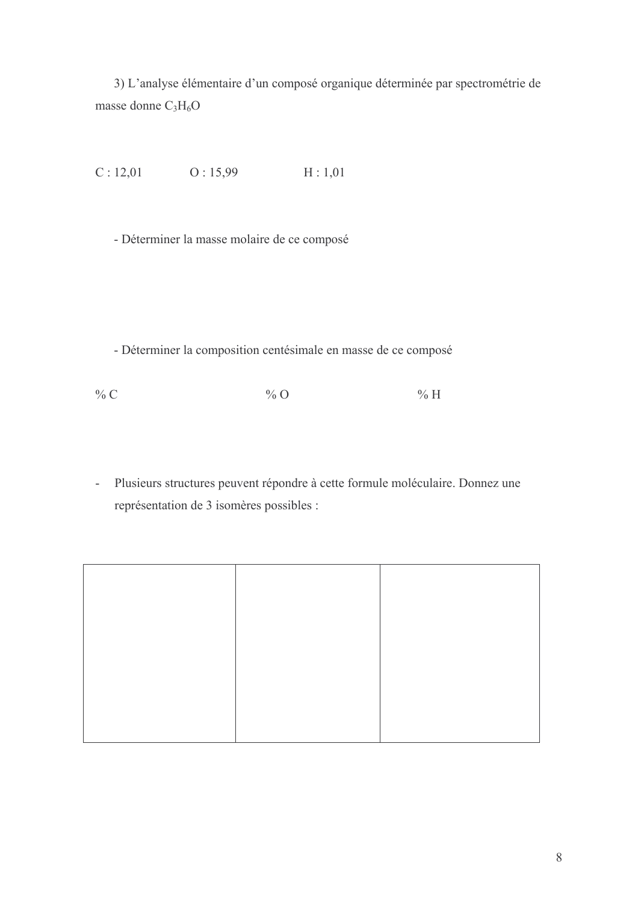3) L'analyse élémentaire d'un composé organique déterminée par spectrométrie de masse donne  $C_3H_6O$ 

 $C: 12,01$   $O: 15,99$  $H: 1,01$ 

- Déterminer la masse molaire de ce composé

- Déterminer la composition centésimale en masse de ce composé

 $% H$ % $C$  $\%$  O

- Plusieurs structures peuvent répondre à cette formule moléculaire. Donnez une représentation de 3 isomères possibles :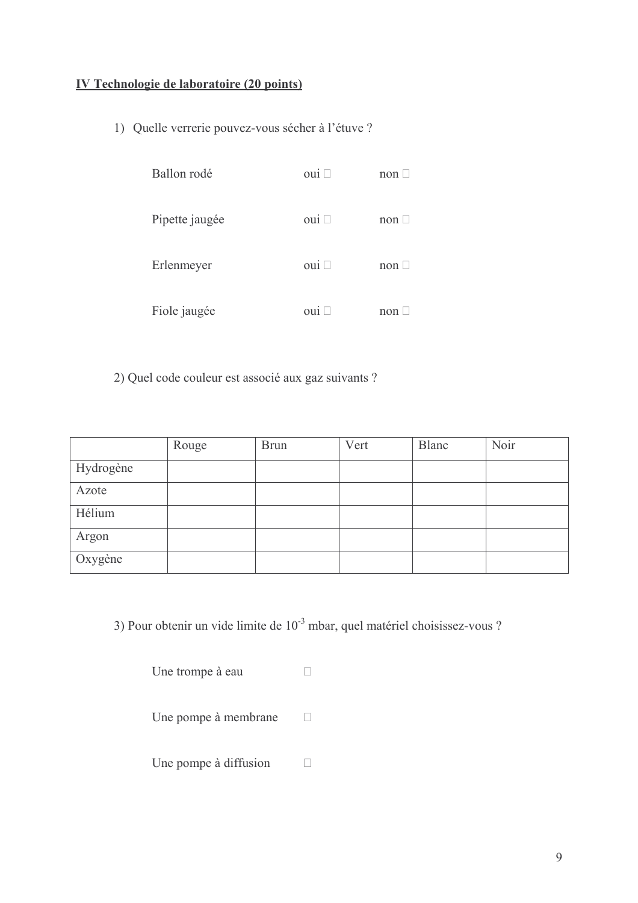## IV Technologie de laboratoire (20 points)

1) Quelle verrerie pouvez-vous sécher à l'étuve ?

| Ballon rodé    | $\alpha$ ui $\Box$      | $non \perp$ |
|----------------|-------------------------|-------------|
| Pipette jaugée | $\overline{\text{out}}$ | non         |
| Erlenmeyer     | $\overline{\text{out}}$ | non         |
| Fiole jaugée   | oui <sup>~</sup>        | non         |

2) Quel code couleur est associé aux gaz suivants ?

|           | Rouge | <b>Brun</b> | Vert | Blanc | Noir |
|-----------|-------|-------------|------|-------|------|
| Hydrogène |       |             |      |       |      |
| Azote     |       |             |      |       |      |
| Hélium    |       |             |      |       |      |
| Argon     |       |             |      |       |      |
| Oxygène   |       |             |      |       |      |

3) Pour obtenir un vide limite de 10<sup>-3</sup> mbar, quel matériel choisissez-vous ?

Une trompe à eau  $\Box$ 

Une pompe à membrane  $\Box$ 

Une pompe à diffusion  $\Box$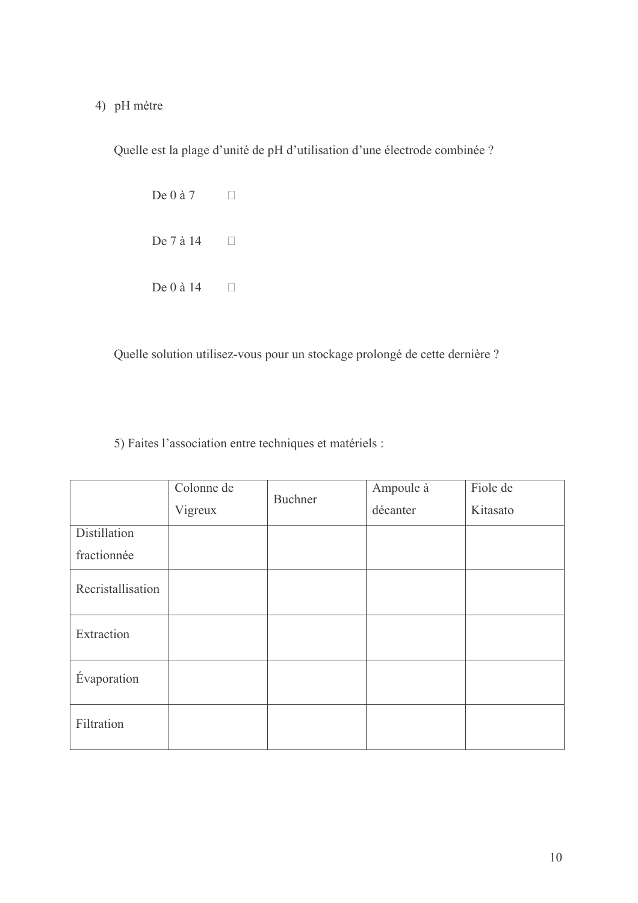## 4) pH mètre

Quelle est la plage d'unité de pH d'utilisation d'une électrode combinée ?

De  $0$  à  $7$  $\Box$ De 7 à 14  $\Box$ De 0 à 14  $\Box$ 

Quelle solution utilisez-vous pour un stockage prolongé de cette dernière ?

5) Faites l'association entre techniques et matériels :

|                   | Colonne de | Buchner | Ampoule à | Fiole de |
|-------------------|------------|---------|-----------|----------|
|                   | Vigreux    |         | décanter  | Kitasato |
| Distillation      |            |         |           |          |
| fractionnée       |            |         |           |          |
| Recristallisation |            |         |           |          |
| Extraction        |            |         |           |          |
| Évaporation       |            |         |           |          |
| Filtration        |            |         |           |          |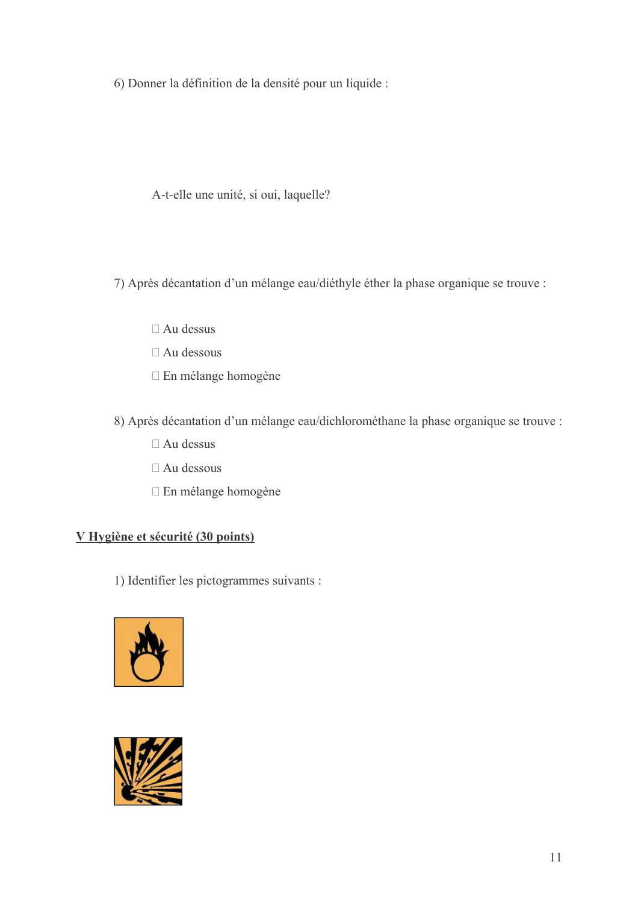6) Donner la définition de la densité pour un liquide :

A-t-elle une unité, si oui, laquelle?

7) Après décantation d'un mélange eau/diéthyle éther la phase organique se trouve :

- $\Box$  Au dessus
- $\Box$  Au dessous
- □ En mélange homogène

8) Après décantation d'un mélange eau/dichlorométhane la phase organique se trouve :

- $\Box$  Au dessus
- $\Box$  Au dessous
- $\Box$  En mélange homogène

#### V Hygiène et sécurité (30 points)

1) Identifier les pictogrammes suivants :



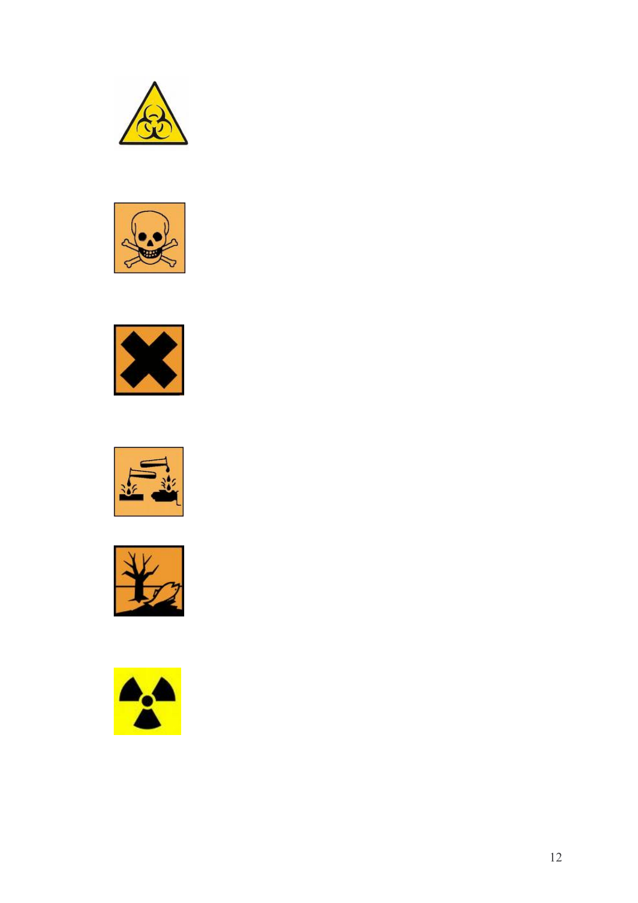









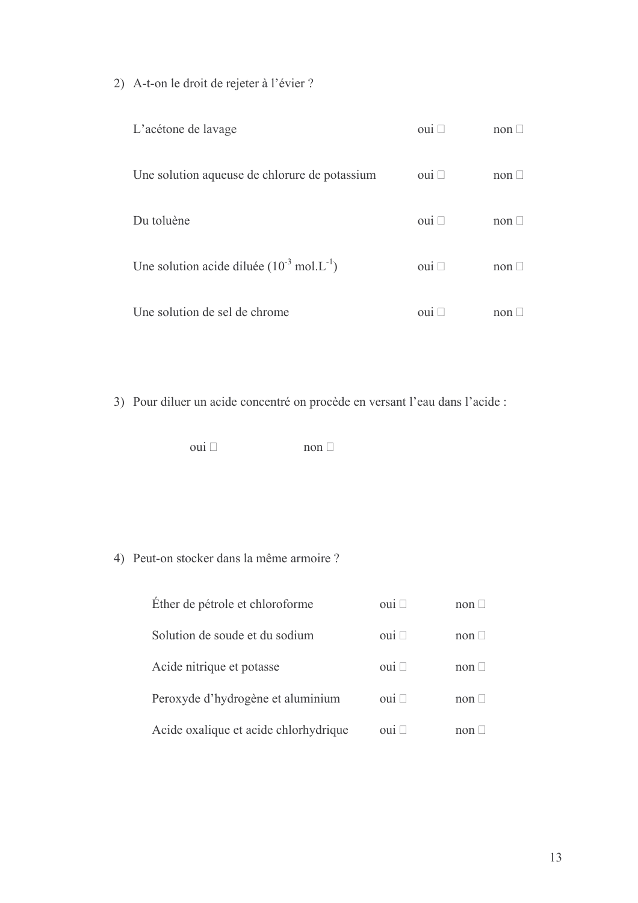2) A-t-on le droit de rejeter à l'évier ?

| L'acétone de lavage                                       | $\overline{\text{out}}$ | $n$ on $\Box$      |
|-----------------------------------------------------------|-------------------------|--------------------|
| Une solution aqueuse de chlorure de potassium             | $\overline{\text{out}}$ | $n$ on $\Box$      |
| Du toluène                                                | oui                     | non                |
| Une solution acide diluée $(10^{-3} \text{ mol.} L^{-1})$ | $\overline{\text{out}}$ | $\text{non} \perp$ |
| Une solution de sel de chrome                             | $\alpha$ ui $\Box$      | $\text{non}$       |

3) Pour diluer un acide concentré on procède en versant l'eau dans l'acide :

| ٠<br>OU <sub>1</sub> | non |
|----------------------|-----|
| , ,                  |     |

4) Peut-on stocker dans la même armoire ?

| Éther de pétrole et chloroforme       | $\overline{\text{out}}$ | non |
|---------------------------------------|-------------------------|-----|
| Solution de soude et du sodium        | $\alpha$ ui $\Box$      | non |
| Acide nitrique et potasse             | $\alpha$ ui $\Box$      | non |
| Peroxyde d'hydrogène et aluminium     | $\overline{\text{out}}$ | non |
| Acide oxalique et acide chlorhydrique | $\alpha$ ui $\Box$      | non |